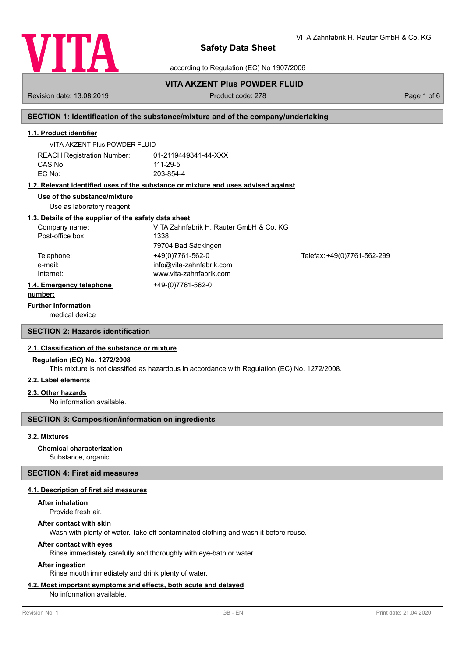

VITA Zahnfabrik H. Rauter GmbH & Co. KG

according to Regulation (EC) No 1907/2006

## **VITA AKZENT Plus POWDER FLUID**

Revision date: 13.08.2019 **Product code: 278** Product code: 278 **Page 1 of 6** Page 1 of 6

## **SECTION 1: Identification of the substance/mixture and of the company/undertaking**

## **1.1. Product identifier**

VITA AKZENT Plus POWDER FLUID

REACH Registration Number: 01-2119449341-44-XXX CAS No: 111-29-5 EC No: 203-854-4

## **1.2. Relevant identified uses of the substance or mixture and uses advised against**

#### **Use of the substance/mixture**

Use as laboratory reagent

#### **1.3. Details of the supplier of the safety data sheet**

| VITA Zahnfabrik H. Rauter GmbH & Co. KG |                             |
|-----------------------------------------|-----------------------------|
| 1338                                    |                             |
| 79704 Bad Säckingen                     |                             |
| +49(0)7761-562-0                        | Telefax: +49(0)7761-562-299 |
| info@vita-zahnfabrik.com                |                             |
| www.vita-zahnfabrik.com                 |                             |
| +49-(0)7761-562-0                       |                             |
|                                         |                             |

### **number:**

## **Further Information**

medical device

## **SECTION 2: Hazards identification**

## **2.1. Classification of the substance or mixture**

#### **Regulation (EC) No. 1272/2008**

This mixture is not classified as hazardous in accordance with Regulation (EC) No. 1272/2008.

## **2.2. Label elements**

#### **2.3. Other hazards**

No information available.

## **SECTION 3: Composition/information on ingredients**

## **3.2. Mixtures**

## **Chemical characterization**

Substance, organic

## **SECTION 4: First aid measures**

## **4.1. Description of first aid measures**

**After inhalation**

Provide fresh air.

# **After contact with skin**

Wash with plenty of water. Take off contaminated clothing and wash it before reuse.

## **After contact with eyes**

Rinse immediately carefully and thoroughly with eye-bath or water.

## **After ingestion**

Rinse mouth immediately and drink plenty of water.

## **4.2. Most important symptoms and effects, both acute and delayed**

No information available.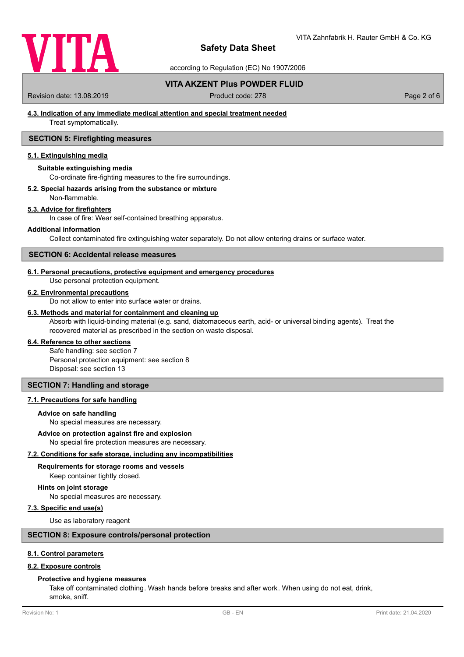

according to Regulation (EC) No 1907/2006

## **VITA AKZENT Plus POWDER FLUID**

Revision date: 13.08.2019 **Product code: 278** Product code: 278 **Page 2 of 6** Page 2 of 6

## **4.3. Indication of any immediate medical attention and special treatment needed**

Treat symptomatically.

## **SECTION 5: Firefighting measures**

## **5.1. Extinguishing media**

## **Suitable extinguishing media**

Co-ordinate fire-fighting measures to the fire surroundings.

## **5.2. Special hazards arising from the substance or mixture**

Non-flammable.

## **5.3. Advice for firefighters**

In case of fire: Wear self-contained breathing apparatus.

#### **Additional information**

Collect contaminated fire extinguishing water separately. Do not allow entering drains or surface water.

### **SECTION 6: Accidental release measures**

## **6.1. Personal precautions, protective equipment and emergency procedures**

Use personal protection equipment.

## **6.2. Environmental precautions**

Do not allow to enter into surface water or drains.

## **6.3. Methods and material for containment and cleaning up**

Absorb with liquid-binding material (e.g. sand, diatomaceous earth, acid- or universal binding agents). Treat the recovered material as prescribed in the section on waste disposal.

### **6.4. Reference to other sections**

Safe handling: see section 7 Personal protection equipment: see section 8 Disposal: see section 13

## **SECTION 7: Handling and storage**

## **7.1. Precautions for safe handling**

#### **Advice on safe handling**

No special measures are necessary.

#### **Advice on protection against fire and explosion**

No special fire protection measures are necessary.

#### **7.2. Conditions for safe storage, including any incompatibilities**

#### **Requirements for storage rooms and vessels**

Keep container tightly closed.

#### **Hints on joint storage**

No special measures are necessary.

### **7.3. Specific end use(s)**

Use as laboratory reagent

## **SECTION 8: Exposure controls/personal protection**

#### **8.1. Control parameters**

## **8.2. Exposure controls**

#### **Protective and hygiene measures**

Take off contaminated clothing. Wash hands before breaks and after work. When using do not eat, drink, smoke, sniff.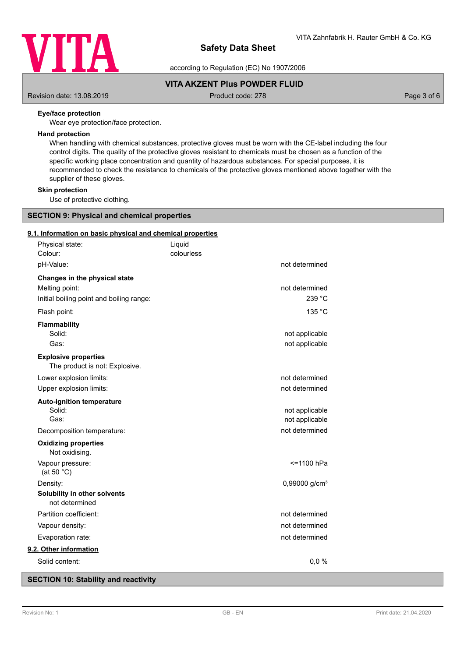

according to Regulation (EC) No 1907/2006

## **VITA AKZENT Plus POWDER FLUID**

Revision date: 13.08.2019 **Product code: 278** Product code: 278 Page 3 of 6

## **Eye/face protection**

Wear eye protection/face protection.

## **Hand protection**

When handling with chemical substances, protective gloves must be worn with the CE-label including the four control digits. The quality of the protective gloves resistant to chemicals must be chosen as a function of the specific working place concentration and quantity of hazardous substances. For special purposes, it is recommended to check the resistance to chemicals of the protective gloves mentioned above together with the supplier of these gloves.

**Skin protection**

Use of protective clothing.

# **SECTION 9: Physical and chemical properties**

### **9.1. Information on basic physical and chemical properties**

| Physical state:<br>Colour:                                    | Liquid<br>colourless |                           |
|---------------------------------------------------------------|----------------------|---------------------------|
| pH-Value:                                                     |                      | not determined            |
| Changes in the physical state                                 |                      |                           |
| Melting point:                                                |                      | not determined            |
| Initial boiling point and boiling range:                      |                      | 239 °C                    |
| Flash point:                                                  |                      | 135 °C                    |
| <b>Flammability</b>                                           |                      |                           |
| Solid:                                                        |                      | not applicable            |
| Gas:                                                          |                      | not applicable            |
| <b>Explosive properties</b><br>The product is not: Explosive. |                      |                           |
| Lower explosion limits:                                       |                      | not determined            |
| Upper explosion limits:                                       |                      | not determined            |
| <b>Auto-ignition temperature</b>                              |                      |                           |
| Solid:                                                        |                      | not applicable            |
| Gas:                                                          |                      | not applicable            |
| Decomposition temperature:                                    |                      | not determined            |
| <b>Oxidizing properties</b><br>Not oxidising.                 |                      |                           |
| Vapour pressure:<br>(at 50 $°C$ )                             |                      | <=1100 hPa                |
| Density:                                                      |                      | 0,99000 g/cm <sup>3</sup> |
| Solubility in other solvents<br>not determined                |                      |                           |
| Partition coefficient:                                        |                      | not determined            |
| Vapour density:                                               |                      | not determined            |
| Evaporation rate:                                             |                      | not determined            |
| 9.2. Other information                                        |                      |                           |
| Solid content:                                                |                      | 0,0%                      |

## **SECTION 10: Stability and reactivity**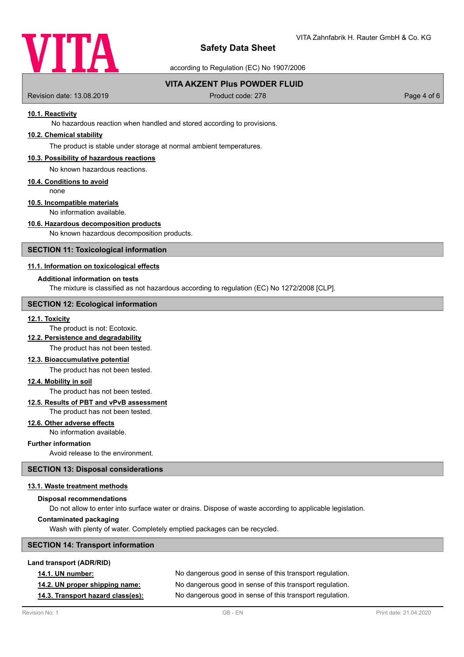

according to Regulation (EC) No 1907/2006

## **VITA AKZENT Plus POWDER FLUID**

Revision date: 13.08.2019 **Product code: 278** Product code: 278 Page 4 of 6

## **10.1. Reactivity**

No hazardous reaction when handled and stored according to provisions.

## **10.2. Chemical stability**

The product is stable under storage at normal ambient temperatures.

## **10.3. Possibility of hazardous reactions**

No known hazardous reactions.

#### **10.4. Conditions to avoid**

none

## **10.5. Incompatible materials**

No information available.

## **10.6. Hazardous decomposition products**

No known hazardous decomposition products.

### **SECTION 11: Toxicological information**

## **11.1. Information on toxicological effects**

## **Additional information on tests**

The mixture is classified as not hazardous according to regulation (EC) No 1272/2008 [CLP].

## **SECTION 12: Ecological information**

### **12.1. Toxicity**

## The product is not: Ecotoxic.

**12.2. Persistence and degradability**

The product has not been tested.

### **12.3. Bioaccumulative potential**

The product has not been tested.

## **12.4. Mobility in soil**

The product has not been tested.

#### **12.5. Results of PBT and vPvB assessment**

The product has not been tested.

## **12.6. Other adverse effects**

No information available.

## **Further information**

Avoid release to the environment.

#### **SECTION 13: Disposal considerations**

#### **13.1. Waste treatment methods**

#### **Disposal recommendations**

Do not allow to enter into surface water or drains. Dispose of waste according to applicable legislation.

## **Contaminated packaging**

Wash with plenty of water. Completely emptied packages can be recycled.

## **SECTION 14: Transport information**

#### **Land transport (ADR/RID)**

| <b>14.1. UN number:</b>           | No dangerous good in sense of this transport regulation. |
|-----------------------------------|----------------------------------------------------------|
| 14.2. UN proper shipping name:    | No dangerous good in sense of this transport regulation. |
| 14.3. Transport hazard class(es): | No dangerous good in sense of this transport regulation. |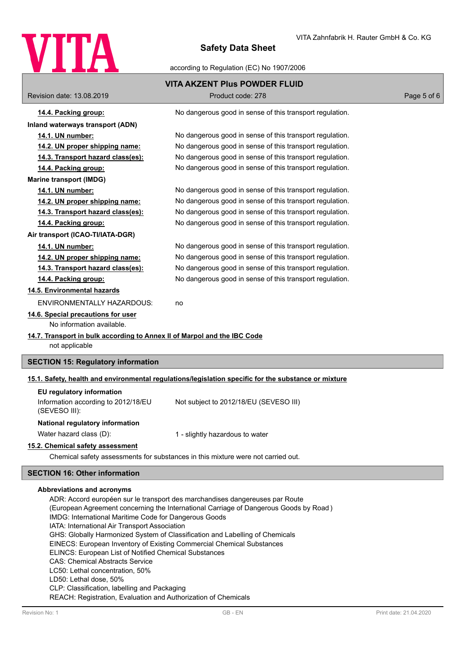

according to Regulation (EC) No 1907/2006

|                                                                                                                                                | <b>VITA AKZENT Plus POWDER FLUID</b>                                                                 |             |  |
|------------------------------------------------------------------------------------------------------------------------------------------------|------------------------------------------------------------------------------------------------------|-------------|--|
| Revision date: 13.08.2019                                                                                                                      | Product code: 278                                                                                    | Page 5 of 6 |  |
| 14.4. Packing group:                                                                                                                           | No dangerous good in sense of this transport regulation.                                             |             |  |
| Inland waterways transport (ADN)                                                                                                               |                                                                                                      |             |  |
| 14.1. UN number:                                                                                                                               | No dangerous good in sense of this transport regulation.                                             |             |  |
| 14.2. UN proper shipping name:                                                                                                                 | No dangerous good in sense of this transport regulation.                                             |             |  |
| 14.3. Transport hazard class(es):                                                                                                              | No dangerous good in sense of this transport regulation.                                             |             |  |
| 14.4. Packing group:                                                                                                                           | No dangerous good in sense of this transport regulation.                                             |             |  |
| <b>Marine transport (IMDG)</b>                                                                                                                 |                                                                                                      |             |  |
| 14.1. UN number:                                                                                                                               | No dangerous good in sense of this transport regulation.                                             |             |  |
| 14.2. UN proper shipping name:                                                                                                                 | No dangerous good in sense of this transport regulation.                                             |             |  |
| 14.3. Transport hazard class(es):                                                                                                              | No dangerous good in sense of this transport regulation.                                             |             |  |
| 14.4. Packing group:                                                                                                                           | No dangerous good in sense of this transport regulation.                                             |             |  |
| Air transport (ICAO-TI/IATA-DGR)                                                                                                               |                                                                                                      |             |  |
| 14.1. UN number:                                                                                                                               | No dangerous good in sense of this transport regulation.                                             |             |  |
| 14.2. UN proper shipping name:                                                                                                                 | No dangerous good in sense of this transport regulation.                                             |             |  |
| 14.3. Transport hazard class(es):                                                                                                              | No dangerous good in sense of this transport regulation.                                             |             |  |
| 14.4. Packing group:                                                                                                                           | No dangerous good in sense of this transport regulation.                                             |             |  |
| 14.5. Environmental hazards                                                                                                                    |                                                                                                      |             |  |
| ENVIRONMENTALLY HAZARDOUS:                                                                                                                     | no                                                                                                   |             |  |
| 14.6. Special precautions for user<br>No information available.                                                                                |                                                                                                      |             |  |
| 14.7. Transport in bulk according to Annex II of Marpol and the IBC Code<br>not applicable                                                     |                                                                                                      |             |  |
| <b>SECTION 15: Regulatory information</b>                                                                                                      |                                                                                                      |             |  |
|                                                                                                                                                |                                                                                                      |             |  |
|                                                                                                                                                | 15.1. Safety, health and environmental regulations/legislation specific for the substance or mixture |             |  |
| EU regulatory information<br>Information according to 2012/18/EU<br>(SEVESO III):                                                              | Not subject to 2012/18/EU (SEVESO III)                                                               |             |  |
| National regulatory information                                                                                                                |                                                                                                      |             |  |
| Water hazard class (D):                                                                                                                        | 1 - slightly hazardous to water                                                                      |             |  |
| 15.2. Chemical safety assessment                                                                                                               |                                                                                                      |             |  |
|                                                                                                                                                | Chemical safety assessments for substances in this mixture were not carried out.                     |             |  |
| <b>SECTION 16: Other information</b>                                                                                                           |                                                                                                      |             |  |
| Abbreviations and acronyms                                                                                                                     |                                                                                                      |             |  |
| ADR: Accord européen sur le transport des marchandises dangereuses par Route                                                                   |                                                                                                      |             |  |
| (European Agreement concerning the International Carriage of Dangerous Goods by Road)<br>IMDG: International Maritime Code for Dangerous Goods |                                                                                                      |             |  |

IATA: International Air Transport Association

GHS: Globally Harmonized System of Classification and Labelling of Chemicals

EINECS: European Inventory of Existing Commercial Chemical Substances

ELINCS: European List of Notified Chemical Substances

CAS: Chemical Abstracts Service

LC50: Lethal concentration, 50%

LD50: Lethal dose, 50%

CLP: Classification, labelling and Packaging

REACH: Registration, Evaluation and Authorization of Chemicals